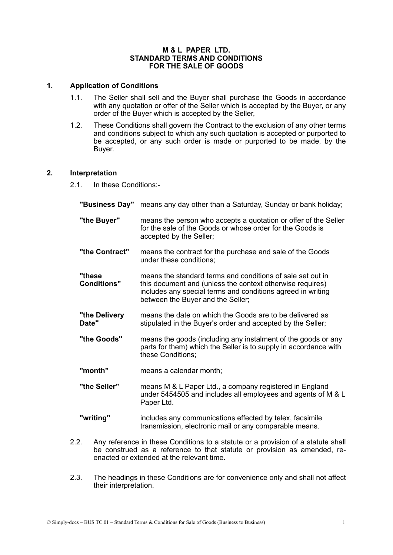#### **M & L PAPER LTD. STANDARD TERMS AND CONDITIONS FOR THE SALE OF GOODS**

### **1. Application of Conditions**

- 1.1. The Seller shall sell and the Buyer shall purchase the Goods in accordance with any quotation or offer of the Seller which is accepted by the Buyer, or any order of the Buyer which is accepted by the Seller,
- 1.2. These Conditions shall govern the Contract to the exclusion of any other terms and conditions subject to which any such quotation is accepted or purported to be accepted, or any such order is made or purported to be made, by the Buyer.

### **2. Interpretation**

2.1. In these Conditions:-

- **"Business Day"** means any day other than a Saturday, Sunday or bank holiday; **"the Buyer"** means the person who accepts a quotation or offer of the Seller for the sale of the Goods or whose order for the Goods is accepted by the Seller; **"the Contract"** means the contract for the purchase and sale of the Goods under these conditions; **"these** means the standard terms and conditions of sale set out in **Conditions"** this document and (unless the context otherwise requires) includes any special terms and conditions agreed in writing between the Buyer and the Seller; **"the Delivery** means the date on which the Goods are to be delivered as stipulated in the Buyer's order and accepted by the Seller; **"the Goods"** means the goods (including any instalment of the goods or any parts for them) which the Seller is to supply in accordance with these Conditions; **"month"** means a calendar month; **"the Seller"** means M & L Paper Ltd., a company registered in England under 5454505 and includes all employees and agents of M & L Paper Ltd.
- **"writing"** includes any communications effected by telex, facsimile transmission, electronic mail or any comparable means.
- 2.2. Any reference in these Conditions to a statute or a provision of a statute shall be construed as a reference to that statute or provision as amended, reenacted or extended at the relevant time.
- 2.3. The headings in these Conditions are for convenience only and shall not affect their interpretation.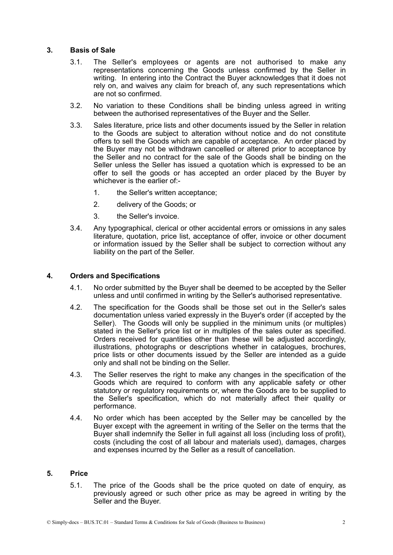## **3. Basis of Sale**

- 3.1. The Seller's employees or agents are not authorised to make any representations concerning the Goods unless confirmed by the Seller in writing. In entering into the Contract the Buyer acknowledges that it does not rely on, and waives any claim for breach of, any such representations which are not so confirmed.
- 3.2. No variation to these Conditions shall be binding unless agreed in writing between the authorised representatives of the Buyer and the Seller.
- 3.3. Sales literature, price lists and other documents issued by the Seller in relation to the Goods are subject to alteration without notice and do not constitute offers to sell the Goods which are capable of acceptance. An order placed by the Buyer may not be withdrawn cancelled or altered prior to acceptance by the Seller and no contract for the sale of the Goods shall be binding on the Seller unless the Seller has issued a quotation which is expressed to be an offer to sell the goods or has accepted an order placed by the Buyer by whichever is the earlier of:-
	- 1. the Seller's written acceptance;
	- 2. delivery of the Goods; or
	- 3. the Seller's invoice.
- 3.4. Any typographical, clerical or other accidental errors or omissions in any sales literature, quotation, price list, acceptance of offer, invoice or other document or information issued by the Seller shall be subject to correction without any liability on the part of the Seller.

### **4. Orders and Specifications**

- 4.1. No order submitted by the Buyer shall be deemed to be accepted by the Seller unless and until confirmed in writing by the Seller's authorised representative.
- 4.2. The specification for the Goods shall be those set out in the Seller's sales documentation unless varied expressly in the Buyer's order (if accepted by the Seller). The Goods will only be supplied in the minimum units (or multiples) stated in the Seller's price list or in multiples of the sales outer as specified. Orders received for quantities other than these will be adjusted accordingly, illustrations, photographs or descriptions whether in catalogues, brochures, price lists or other documents issued by the Seller are intended as a guide only and shall not be binding on the Seller.
- 4.3. The Seller reserves the right to make any changes in the specification of the Goods which are required to conform with any applicable safety or other statutory or regulatory requirements or, where the Goods are to be supplied to the Seller's specification, which do not materially affect their quality or performance.
- 4.4. No order which has been accepted by the Seller may be cancelled by the Buyer except with the agreement in writing of the Seller on the terms that the Buyer shall indemnify the Seller in full against all loss (including loss of profit), costs (including the cost of all labour and materials used), damages, charges and expenses incurred by the Seller as a result of cancellation.

# **5. Price**

5.1. The price of the Goods shall be the price quoted on date of enquiry, as previously agreed or such other price as may be agreed in writing by the Seller and the Buyer.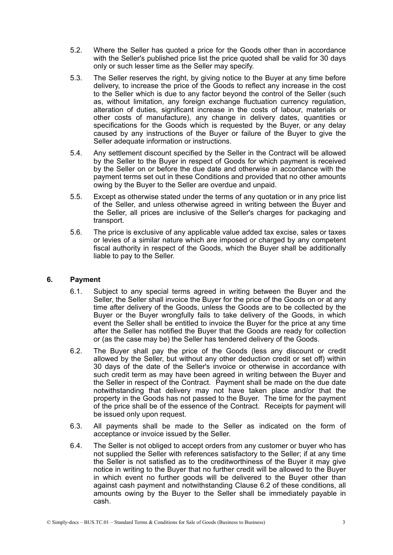- 5.2. Where the Seller has quoted a price for the Goods other than in accordance with the Seller's published price list the price quoted shall be valid for 30 days only or such lesser time as the Seller may specify.
- 5.3. The Seller reserves the right, by giving notice to the Buyer at any time before delivery, to increase the price of the Goods to reflect any increase in the cost to the Seller which is due to any factor beyond the control of the Seller (such as, without limitation, any foreign exchange fluctuation currency regulation, alteration of duties, significant increase in the costs of labour, materials or other costs of manufacture), any change in delivery dates, quantities or specifications for the Goods which is requested by the Buyer, or any delay caused by any instructions of the Buyer or failure of the Buyer to give the Seller adequate information or instructions.
- 5.4. Any settlement discount specified by the Seller in the Contract will be allowed by the Seller to the Buyer in respect of Goods for which payment is received by the Seller on or before the due date and otherwise in accordance with the payment terms set out in these Conditions and provided that no other amounts owing by the Buyer to the Seller are overdue and unpaid.
- 5.5. Except as otherwise stated under the terms of any quotation or in any price list of the Seller, and unless otherwise agreed in writing between the Buyer and the Seller, all prices are inclusive of the Seller's charges for packaging and transport.
- 5.6. The price is exclusive of any applicable value added tax excise, sales or taxes or levies of a similar nature which are imposed or charged by any competent fiscal authority in respect of the Goods, which the Buyer shall be additionally liable to pay to the Seller.

## **6. Payment**

- 6.1. Subject to any special terms agreed in writing between the Buyer and the Seller, the Seller shall invoice the Buyer for the price of the Goods on or at any time after delivery of the Goods, unless the Goods are to be collected by the Buyer or the Buyer wrongfully fails to take delivery of the Goods, in which event the Seller shall be entitled to invoice the Buyer for the price at any time after the Seller has notified the Buyer that the Goods are ready for collection or (as the case may be) the Seller has tendered delivery of the Goods.
- 6.2. The Buyer shall pay the price of the Goods (less any discount or credit allowed by the Seller, but without any other deduction credit or set off) within 30 days of the date of the Seller's invoice or otherwise in accordance with such credit term as may have been agreed in writing between the Buyer and the Seller in respect of the Contract. Payment shall be made on the due date notwithstanding that delivery may not have taken place and/or that the property in the Goods has not passed to the Buyer. The time for the payment of the price shall be of the essence of the Contract. Receipts for payment will be issued only upon request.
- 6.3. All payments shall be made to the Seller as indicated on the form of acceptance or invoice issued by the Seller.
- 6.4. The Seller is not obliged to accept orders from any customer or buyer who has not supplied the Seller with references satisfactory to the Seller; if at any time the Seller is not satisfied as to the creditworthiness of the Buyer it may give notice in writing to the Buyer that no further credit will be allowed to the Buyer in which event no further goods will be delivered to the Buyer other than against cash payment and notwithstanding Clause 6.2 of these conditions, all amounts owing by the Buyer to the Seller shall be immediately payable in cash.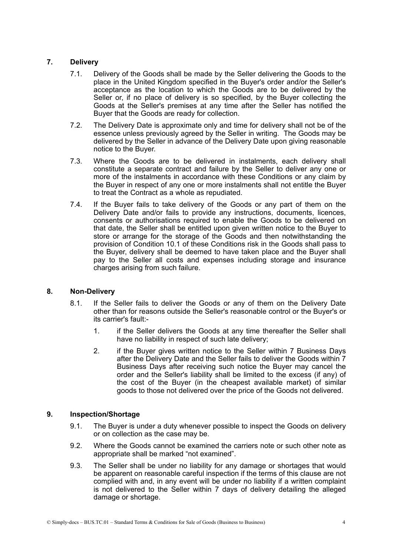# **7. Delivery**

- 7.1. Delivery of the Goods shall be made by the Seller delivering the Goods to the place in the United Kingdom specified in the Buyer's order and/or the Seller's acceptance as the location to which the Goods are to be delivered by the Seller or, if no place of delivery is so specified, by the Buyer collecting the Goods at the Seller's premises at any time after the Seller has notified the Buyer that the Goods are ready for collection.
- 7.2. The Delivery Date is approximate only and time for delivery shall not be of the essence unless previously agreed by the Seller in writing. The Goods may be delivered by the Seller in advance of the Delivery Date upon giving reasonable notice to the Buyer.
- 7.3. Where the Goods are to be delivered in instalments, each delivery shall constitute a separate contract and failure by the Seller to deliver any one or more of the instalments in accordance with these Conditions or any claim by the Buyer in respect of any one or more instalments shall not entitle the Buyer to treat the Contract as a whole as repudiated.
- 7.4. If the Buyer fails to take delivery of the Goods or any part of them on the Delivery Date and/or fails to provide any instructions, documents, licences, consents or authorisations required to enable the Goods to be delivered on that date, the Seller shall be entitled upon given written notice to the Buyer to store or arrange for the storage of the Goods and then notwithstanding the provision of Condition 10.1 of these Conditions risk in the Goods shall pass to the Buyer, delivery shall be deemed to have taken place and the Buyer shall pay to the Seller all costs and expenses including storage and insurance charges arising from such failure.

## **8. Non-Delivery**

- 8.1. If the Seller fails to deliver the Goods or any of them on the Delivery Date other than for reasons outside the Seller's reasonable control or the Buyer's or its carrier's fault:-
	- 1. if the Seller delivers the Goods at any time thereafter the Seller shall have no liability in respect of such late delivery;
	- 2. if the Buyer gives written notice to the Seller within 7 Business Days after the Delivery Date and the Seller fails to deliver the Goods within 7 Business Days after receiving such notice the Buyer may cancel the order and the Seller's liability shall be limited to the excess (if any) of the cost of the Buyer (in the cheapest available market) of similar goods to those not delivered over the price of the Goods not delivered.

## **9. Inspection/Shortage**

- 9.1. The Buyer is under a duty whenever possible to inspect the Goods on delivery or on collection as the case may be.
- 9.2. Where the Goods cannot be examined the carriers note or such other note as appropriate shall be marked "not examined".
- 9.3. The Seller shall be under no liability for any damage or shortages that would be apparent on reasonable careful inspection if the terms of this clause are not complied with and, in any event will be under no liability if a written complaint is not delivered to the Seller within 7 days of delivery detailing the alleged damage or shortage.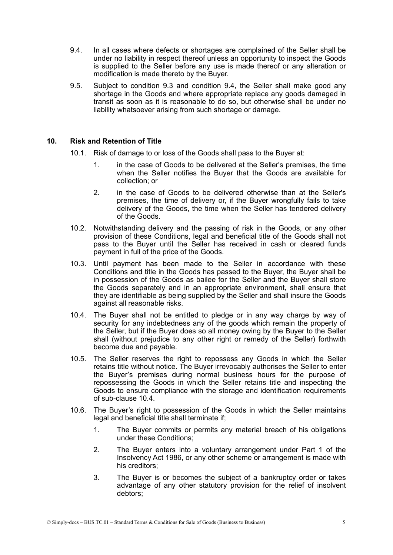- 9.4. In all cases where defects or shortages are complained of the Seller shall be under no liability in respect thereof unless an opportunity to inspect the Goods is supplied to the Seller before any use is made thereof or any alteration or modification is made thereto by the Buyer.
- 9.5. Subject to condition 9.3 and condition 9.4, the Seller shall make good any shortage in the Goods and where appropriate replace any goods damaged in transit as soon as it is reasonable to do so, but otherwise shall be under no liability whatsoever arising from such shortage or damage.

## **10. Risk and Retention of Title**

- 10.1. Risk of damage to or loss of the Goods shall pass to the Buyer at:
	- 1. in the case of Goods to be delivered at the Seller's premises, the time when the Seller notifies the Buyer that the Goods are available for collection; or
	- 2. in the case of Goods to be delivered otherwise than at the Seller's premises, the time of delivery or, if the Buyer wrongfully fails to take delivery of the Goods, the time when the Seller has tendered delivery of the Goods.
- 10.2. Notwithstanding delivery and the passing of risk in the Goods, or any other provision of these Conditions, legal and beneficial title of the Goods shall not pass to the Buyer until the Seller has received in cash or cleared funds payment in full of the price of the Goods.
- 10.3. Until payment has been made to the Seller in accordance with these Conditions and title in the Goods has passed to the Buyer, the Buyer shall be in possession of the Goods as bailee for the Seller and the Buyer shall store the Goods separately and in an appropriate environment, shall ensure that they are identifiable as being supplied by the Seller and shall insure the Goods against all reasonable risks.
- 10.4. The Buyer shall not be entitled to pledge or in any way charge by way of security for any indebtedness any of the goods which remain the property of the Seller, but if the Buyer does so all money owing by the Buyer to the Seller shall (without prejudice to any other right or remedy of the Seller) forthwith become due and payable.
- 10.5. The Seller reserves the right to repossess any Goods in which the Seller retains title without notice. The Buyer irrevocably authorises the Seller to enter the Buyer's premises during normal business hours for the purpose of repossessing the Goods in which the Seller retains title and inspecting the Goods to ensure compliance with the storage and identification requirements of sub-clause 10.4.
- 10.6. The Buyer's right to possession of the Goods in which the Seller maintains legal and beneficial title shall terminate if;
	- 1. The Buyer commits or permits any material breach of his obligations under these Conditions;
	- 2. The Buyer enters into a voluntary arrangement under Part 1 of the Insolvency Act 1986, or any other scheme or arrangement is made with his creditors;
	- 3. The Buyer is or becomes the subject of a bankruptcy order or takes advantage of any other statutory provision for the relief of insolvent debtors;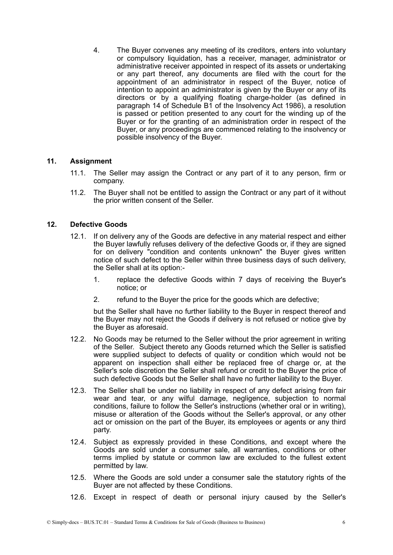4. The Buyer convenes any meeting of its creditors, enters into voluntary or compulsory liquidation, has a receiver, manager, administrator or administrative receiver appointed in respect of its assets or undertaking or any part thereof, any documents are filed with the court for the appointment of an administrator in respect of the Buyer, notice of intention to appoint an administrator is given by the Buyer or any of its directors or by a qualifying floating charge-holder (as defined in paragraph 14 of Schedule B1 of the Insolvency Act 1986), a resolution is passed or petition presented to any court for the winding up of the Buyer or for the granting of an administration order in respect of the Buyer, or any proceedings are commenced relating to the insolvency or possible insolvency of the Buyer.

### **11. Assignment**

- 11.1. The Seller may assign the Contract or any part of it to any person, firm or company.
- 11.2. The Buyer shall not be entitled to assign the Contract or any part of it without the prior written consent of the Seller.

### **12. Defective Goods**

- 12.1. If on delivery any of the Goods are defective in any material respect and either the Buyer lawfully refuses delivery of the defective Goods or, if they are signed for on delivery "condition and contents unknown" the Buyer gives written notice of such defect to the Seller within three business days of such delivery, the Seller shall at its option:-
	- 1. replace the defective Goods within 7 days of receiving the Buyer's notice; or
	- 2. refund to the Buyer the price for the goods which are defective;

but the Seller shall have no further liability to the Buyer in respect thereof and the Buyer may not reject the Goods if delivery is not refused or notice give by the Buyer as aforesaid.

- 12.2. No Goods may be returned to the Seller without the prior agreement in writing of the Seller. Subject thereto any Goods returned which the Seller is satisfied were supplied subject to defects of quality or condition which would not be apparent on inspection shall either be replaced free of charge or, at the Seller's sole discretion the Seller shall refund or credit to the Buyer the price of such defective Goods but the Seller shall have no further liability to the Buyer.
- 12.3. The Seller shall be under no liability in respect of any defect arising from fair wear and tear, or any wilful damage, negligence, subjection to normal conditions, failure to follow the Seller's instructions (whether oral or in writing), misuse or alteration of the Goods without the Seller's approval, or any other act or omission on the part of the Buyer, its employees or agents or any third party.
- 12.4. Subject as expressly provided in these Conditions, and except where the Goods are sold under a consumer sale, all warranties, conditions or other terms implied by statute or common law are excluded to the fullest extent permitted by law.
- 12.5. Where the Goods are sold under a consumer sale the statutory rights of the Buyer are not affected by these Conditions.
- 12.6. Except in respect of death or personal injury caused by the Seller's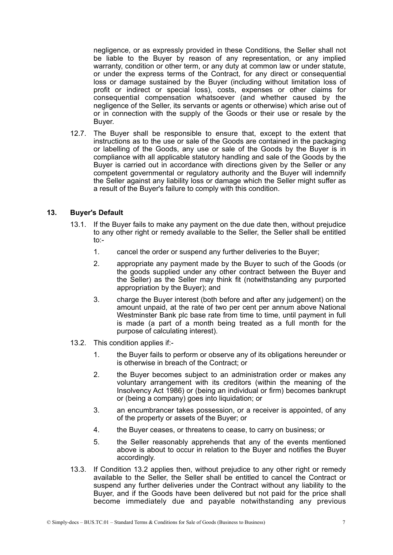negligence, or as expressly provided in these Conditions, the Seller shall not be liable to the Buyer by reason of any representation, or any implied warranty, condition or other term, or any duty at common law or under statute, or under the express terms of the Contract, for any direct or consequential loss or damage sustained by the Buyer (including without limitation loss of profit or indirect or special loss), costs, expenses or other claims for consequential compensation whatsoever (and whether caused by the negligence of the Seller, its servants or agents or otherwise) which arise out of or in connection with the supply of the Goods or their use or resale by the Buyer.

12.7. The Buyer shall be responsible to ensure that, except to the extent that instructions as to the use or sale of the Goods are contained in the packaging or labelling of the Goods, any use or sale of the Goods by the Buyer is in compliance with all applicable statutory handling and sale of the Goods by the Buyer is carried out in accordance with directions given by the Seller or any competent governmental or regulatory authority and the Buyer will indemnify the Seller against any liability loss or damage which the Seller might suffer as a result of the Buyer's failure to comply with this condition.

## **13. Buyer's Default**

- 13.1. If the Buyer fails to make any payment on the due date then, without prejudice to any other right or remedy available to the Seller, the Seller shall be entitled to:-
	- 1. cancel the order or suspend any further deliveries to the Buyer;
	- 2. appropriate any payment made by the Buyer to such of the Goods (or the goods supplied under any other contract between the Buyer and the Seller) as the Seller may think fit (notwithstanding any purported appropriation by the Buyer); and
	- 3. charge the Buyer interest (both before and after any judgement) on the amount unpaid, at the rate of two per cent per annum above National Westminster Bank plc base rate from time to time, until payment in full is made (a part of a month being treated as a full month for the purpose of calculating interest).
- 13.2. This condition applies if:-
	- 1. the Buyer fails to perform or observe any of its obligations hereunder or is otherwise in breach of the Contract; or
	- 2. the Buyer becomes subject to an administration order or makes any voluntary arrangement with its creditors (within the meaning of the Insolvency Act 1986) or (being an individual or firm) becomes bankrupt or (being a company) goes into liquidation; or
	- 3. an encumbrancer takes possession, or a receiver is appointed, of any of the property or assets of the Buyer; or
	- 4. the Buyer ceases, or threatens to cease, to carry on business; or
	- 5. the Seller reasonably apprehends that any of the events mentioned above is about to occur in relation to the Buyer and notifies the Buyer accordingly.
- 13.3. If Condition 13.2 applies then, without prejudice to any other right or remedy available to the Seller, the Seller shall be entitled to cancel the Contract or suspend any further deliveries under the Contract without any liability to the Buyer, and if the Goods have been delivered but not paid for the price shall become immediately due and payable notwithstanding any previous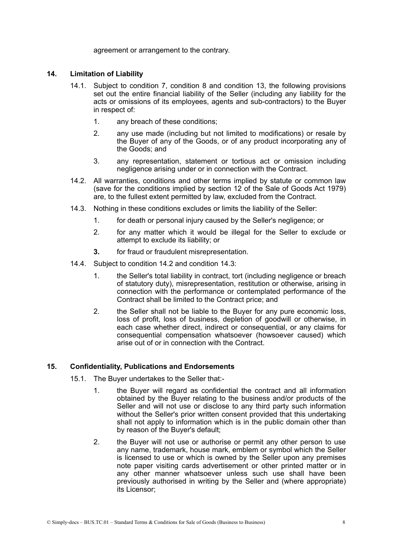agreement or arrangement to the contrary.

#### **14. Limitation of Liability**

- 14.1. Subject to condition 7, condition 8 and condition 13, the following provisions set out the entire financial liability of the Seller (including any liability for the acts or omissions of its employees, agents and sub-contractors) to the Buyer in respect of:
	- 1. any breach of these conditions;
	- 2. any use made (including but not limited to modifications) or resale by the Buyer of any of the Goods, or of any product incorporating any of the Goods; and
	- 3. any representation, statement or tortious act or omission including negligence arising under or in connection with the Contract.
- 14.2. All warranties, conditions and other terms implied by statute or common law (save for the conditions implied by section 12 of the Sale of Goods Act 1979) are, to the fullest extent permitted by law, excluded from the Contract.
- 14.3. Nothing in these conditions excludes or limits the liability of the Seller:
	- 1. for death or personal injury caused by the Seller's negligence; or
	- 2. for any matter which it would be illegal for the Seller to exclude or attempt to exclude its liability; or
	- **3.** for fraud or fraudulent misrepresentation.
- 14.4. Subject to condition 14.2 and condition 14.3:
	- 1. the Seller's total liability in contract, tort (including negligence or breach of statutory duty), misrepresentation, restitution or otherwise, arising in connection with the performance or contemplated performance of the Contract shall be limited to the Contract price; and
	- 2. the Seller shall not be liable to the Buyer for any pure economic loss, loss of profit, loss of business, depletion of goodwill or otherwise, in each case whether direct, indirect or consequential, or any claims for consequential compensation whatsoever (howsoever caused) which arise out of or in connection with the Contract.

#### **15. Confidentiality, Publications and Endorsements**

- 15.1. The Buyer undertakes to the Seller that:-
	- 1. the Buyer will regard as confidential the contract and all information obtained by the Buyer relating to the business and/or products of the Seller and will not use or disclose to any third party such information without the Seller's prior written consent provided that this undertaking shall not apply to information which is in the public domain other than by reason of the Buyer's default;
	- 2. the Buyer will not use or authorise or permit any other person to use any name, trademark, house mark, emblem or symbol which the Seller is licensed to use or which is owned by the Seller upon any premises note paper visiting cards advertisement or other printed matter or in any other manner whatsoever unless such use shall have been previously authorised in writing by the Seller and (where appropriate) its Licensor;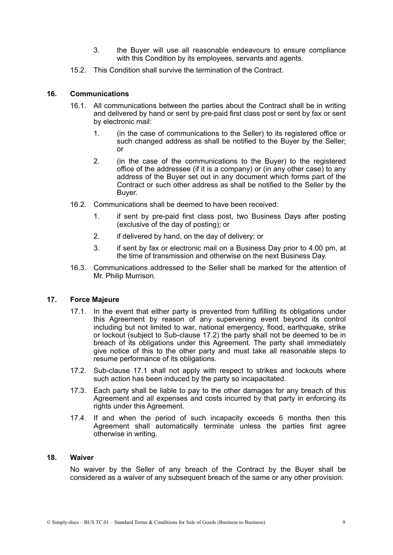- 3. the Buyer will use all reasonable endeavours to ensure compliance with this Condition by its employees, servants and agents.
- 15.2. This Condition shall survive the termination of the Contract.

### **16. Communications**

- 16.1. All communications between the parties about the Contract shall be in writing and delivered by hand or sent by pre-paid first class post or sent by fax or sent by electronic mail:
	- 1. (in the case of communications to the Seller) to its registered office or such changed address as shall be notified to the Buyer by the Seller; or
	- 2. (in the case of the communications to the Buyer) to the registered office of the addressee (if it is a company) or (in any other case) to any address of the Buyer set out in any document which forms part of the Contract or such other address as shall be notified to the Seller by the Buyer.
- 16.2. Communications shall be deemed to have been received:
	- 1. if sent by pre-paid first class post, two Business Days after posting (exclusive of the day of posting); or
	- 2. if delivered by hand, on the day of delivery; or
	- 3. if sent by fax or electronic mail on a Business Day prior to 4.00 pm, at the time of transmission and otherwise on the next Business Day.
- 16.3. Communications addressed to the Seller shall be marked for the attention of Mr. Philip Murrison.

# **17. Force Majeure**

- 17.1. In the event that either party is prevented from fulfilling its obligations under this Agreement by reason of any supervening event beyond its control including but not limited to war, national emergency, flood, earthquake, strike or lockout (subject to Sub-clause 17.2) the party shall not be deemed to be in breach of its obligations under this Agreement. The party shall immediately give notice of this to the other party and must take all reasonable steps to resume performance of its obligations.
- 17.2. Sub-clause 17.1 shall not apply with respect to strikes and lockouts where such action has been induced by the party so incapacitated.
- 17.3. Each party shall be liable to pay to the other damages for any breach of this Agreement and all expenses and costs incurred by that party in enforcing its rights under this Agreement.
- 17.4. If and when the period of such incapacity exceeds 6 months then this Agreement shall automatically terminate unless the parties first agree otherwise in writing.

# **18. Waiver**

No waiver by the Seller of any breach of the Contract by the Buyer shall be considered as a waiver of any subsequent breach of the same or any other provision.